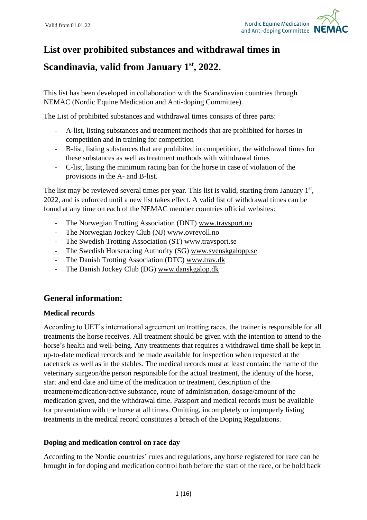

# **List over prohibited substances and withdrawal times in**

# **Scandinavia, valid from January 1 st , 2022.**

This list has been developed in collaboration with the Scandinavian countries through NEMAC (Nordic Equine Medication and Anti-doping Committee).

The List of prohibited substances and withdrawal times consists of three parts:

- A-list, listing substances and treatment methods that are prohibited for horses in competition and in training for competition
- B-list, listing substances that are prohibited in competition, the withdrawal times for these substances as well as treatment methods with withdrawal times
- C-list, listing the minimum racing ban for the horse in case of violation of the provisions in the A- and B-list.

The list may be reviewed several times per year. This list is valid, starting from January  $1<sup>st</sup>$ , 2022, and is enforced until a new list takes effect. A valid list of withdrawal times can be found at any time on each of the NEMAC member countries official websites:

- The Norwegian Trotting Association (DNT) [www.travsport.no](http://www.travsport.no/)
- The Norwegian Jockey Club (NJ) [www.ovrevoll.no](http://www.ovrevoll.no/)
- The Swedish Trotting Association (ST) [www.travsport.se](http://www.travsport.se/)
- The Swedish Horseracing Authority (SG) [www.svenskgalopp.se](http://www.svenskgalopp.se/)
- The Danish Trotting Association (DTC) [www.trav.dk](http://www.trav.dk/)
- The Danish Jockey Club (DG) [www.danskgalop.dk](http://www.danskgalop.dk/)

## **General information:**

### **Medical records**

According to UET's international agreement on trotting races, the trainer is responsible for all treatments the horse receives. All treatment should be given with the intention to attend to the horse's health and well-being. Any treatments that requires a withdrawal time shall be kept in up-to-date medical records and be made available for inspection when requested at the racetrack as well as in the stables. The medical records must at least contain: the name of the veterinary surgeon/the person responsible for the actual treatment, the identity of the horse, start and end date and time of the medication or treatment, description of the treatment/medication/active substance, route of administration, dosage/amount of the medication given, and the withdrawal time. Passport and medical records must be available for presentation with the horse at all times. Omitting, incompletely or improperly listing treatments in the medical record constitutes a breach of the Doping Regulations.

### **Doping and medication control on race day**

According to the Nordic countries' rules and regulations, any horse registered for race can be brought in for doping and medication control both before the start of the race, or be hold back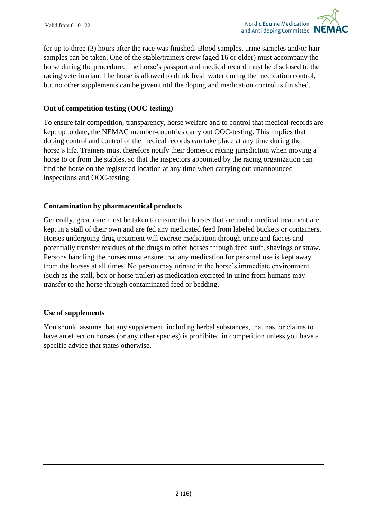for up to three (3) hours after the race was finished. Blood samples, urine samples and/or hair samples can be taken. One of the stable/trainers crew (aged 16 or older) must accompany the horse during the procedure. The horse's passport and medical record must be disclosed to the racing veterinarian. The horse is allowed to drink fresh water during the medication control, but no other supplements can be given until the doping and medication control is finished.

### **Out of competition testing (OOC-testing)**

To ensure fair competition, transparency, horse welfare and to control that medical records are kept up to date, the NEMAC member-countries carry out OOC-testing. This implies that doping control and control of the medical records can take place at any time during the horse's life. Trainers must therefore notify their domestic racing jurisdiction when moving a horse to or from the stables, so that the inspectors appointed by the racing organization can find the horse on the registered location at any time when carrying out unannounced inspections and OOC-testing.

### **Contamination by pharmaceutical products**

Generally, great care must be taken to ensure that horses that are under medical treatment are kept in a stall of their own and are fed any medicated feed from labeled buckets or containers. Horses undergoing drug treatment will excrete medication through urine and faeces and potentially transfer residues of the drugs to other horses through feed stuff, shavings or straw. Persons handling the horses must ensure that any medication for personal use is kept away from the horses at all times. No person may urinate in the horse's immediate environment (such as the stall, box or horse trailer) as medication excreted in urine from humans may transfer to the horse through contaminated feed or bedding.

### **Use of supplements**

You should assume that any supplement, including herbal substances, that has, or claims to have an effect on horses (or any other species) is prohibited in competition unless you have a specific advice that states otherwise.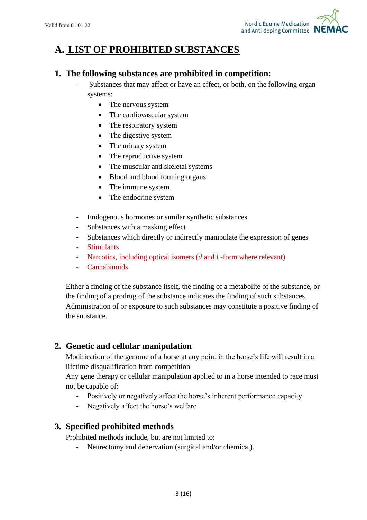

# **A. LIST OF PROHIBITED SUBSTANCES**

### **1. The following substances are prohibited in competition:**

- Substances that may affect or have an effect, or both, on the following organ systems:
	- The nervous system
	- The cardiovascular system
	- The respiratory system
	- The digestive system
	- The urinary system
	- The reproductive system
	- The muscular and skeletal systems
	- Blood and blood forming organs
	- The immune system
	- The endocrine system
- Endogenous hormones or similar synthetic substances
- Substances with a masking effect
- Substances which directly or indirectly manipulate the expression of genes
- Stimulants
- Narcotics, including optical isomers (*d* and *l* -form where relevant)
- **Cannabinoids**

Either a finding of the substance itself, the finding of a metabolite of the substance, or the finding of a prodrug of the substance indicates the finding of such substances. Administration of or exposure to such substances may constitute a positive finding of the substance.

## **2. Genetic and cellular manipulation**

Modification of the genome of a horse at any point in the horse's life will result in a lifetime disqualification from competition

Any gene therapy or cellular manipulation applied to in a horse intended to race must not be capable of:

- Positively or negatively affect the horse's inherent performance capacity
- Negatively affect the horse's welfare

## **3. Specified prohibited methods**

Prohibited methods include, but are not limited to:

- Neurectomy and denervation (surgical and/or chemical).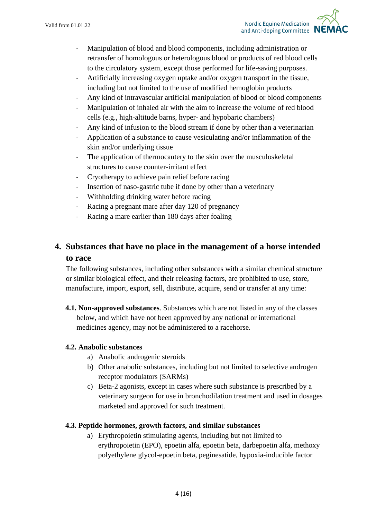- Manipulation of blood and blood components, including administration or retransfer of homologous or heterologous blood or products of red blood cells to the circulatory system, except those performed for life-saving purposes.
- Artificially increasing oxygen uptake and/or oxygen transport in the tissue, including but not limited to the use of modified hemoglobin products
- Any kind of intravascular artificial manipulation of blood or blood components
- Manipulation of inhaled air with the aim to increase the volume of red blood cells (e.g., high-altitude barns, hyper- and hypobaric chambers)
- Any kind of infusion to the blood stream if done by other than a veterinarian
- Application of a substance to cause vesiculating and/or inflammation of the skin and/or underlying tissue
- The application of thermocautery to the skin over the musculoskeletal structures to cause counter-irritant effect
- Cryotherapy to achieve pain relief before racing
- Insertion of naso-gastric tube if done by other than a veterinary
- Withholding drinking water before racing
- Racing a pregnant mare after day 120 of pregnancy
- Racing a mare earlier than 180 days after foaling

# **4. Substances that have no place in the management of a horse intended to race**

The following substances, including other substances with a similar chemical structure or similar biological effect, and their releasing factors, are prohibited to use, store, manufacture, import, export, sell, distribute, acquire, send or transfer at any time:

**4.1. Non-approved substances**. Substances which are not listed in any of the classes below, and which have not been approved by any national or international medicines agency, may not be administered to a racehorse.

### **4.2. Anabolic substances**

- a) Anabolic androgenic steroids
- b) Other anabolic substances, including but not limited to selective androgen receptor modulators (SARMs)
- c) Beta-2 agonists, except in cases where such substance is prescribed by a veterinary surgeon for use in bronchodilation treatment and used in dosages marketed and approved for such treatment.

### **4.3. Peptide hormones, growth factors, and similar substances**

a) Erythropoietin stimulating agents, including but not limited to erythropoietin (EPO), epoetin alfa, epoetin beta, darbepoetin alfa, methoxy polyethylene glycol-epoetin beta, peginesatide, hypoxia-inducible factor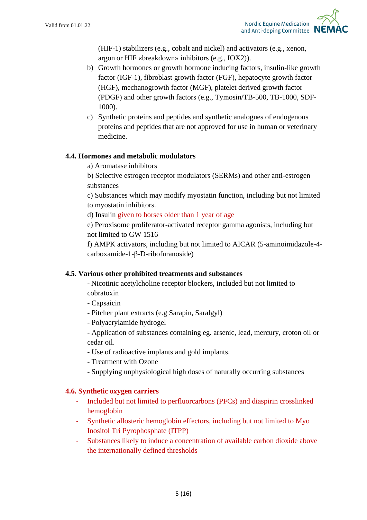

(HIF-1) stabilizers (e.g., cobalt and nickel) and activators (e.g., xenon, argon or HIF «breakdown» inhibitors (e.g., IOX2)).

- b) Growth hormones or growth hormone inducing factors, insulin-like growth factor (IGF-1), fibroblast growth factor (FGF), hepatocyte growth factor (HGF), mechanogrowth factor (MGF), platelet derived growth factor (PDGF) and other growth factors (e.g., Tymosin/TB-500, TB-1000, SDF-1000).
- c) Synthetic proteins and peptides and synthetic analogues of endogenous proteins and peptides that are not approved for use in human or veterinary medicine.

### **4.4. Hormones and metabolic modulators**

a) Aromatase inhibitors

b) Selective estrogen receptor modulators (SERMs) and other anti-estrogen substances

c) Substances which may modify myostatin function, including but not limited to myostatin inhibitors.

d) Insulin given to horses older than 1 year of age

e) Peroxisome proliferator-activated receptor gamma agonists, including but not limited to GW 1516

f) AMPK activators, including but not limited to AICAR (5-aminoimidazole-4 carboxamide-1-β-D-ribofuranoside)

### **4.5. Various other prohibited treatments and substances**

- Nicotinic acetylcholine receptor blockers, included but not limited to cobratoxin
- Capsaicin
- Pitcher plant extracts (e.g Sarapin, Saralgyl)
- Polyacrylamide hydrogel
- Application of substances containing eg. arsenic, lead, mercury, croton oil or cedar oil.
- Use of radioactive implants and gold implants.
- Treatment with Ozone
- Supplying unphysiological high doses of naturally occurring substances

### **4.6. Synthetic oxygen carriers**

- Included but not limited to perfluorcarbons (PFCs) and diaspirin crosslinked hemoglobin
- Synthetic allosteric hemoglobin effectors, including but not limited to Myo Inositol Tri Pyrophosphate (ITPP)
- Substances likely to induce a concentration of available carbon dioxide above the internationally defined thresholds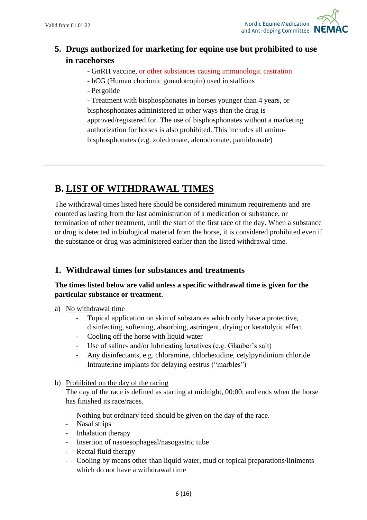

# **5. Drugs authorized for marketing for equine use but prohibited to use in racehorses**

- GnRH vaccine, or other substances causing immunologic castration
- hCG (Human chorionic gonadotropin) used in stallions
- Pergolide

- Treatment with bisphosphonates in horses younger than 4 years, or bisphosphonates administered in other ways than the drug is approved/registered for. The use of bisphosphonates without a marketing authorization for horses is also prohibited. This includes all aminobisphosphonates (e.g. zoledronate, alenodronate, pamidronate)

# **B. LIST OF WITHDRAWAL TIMES**

The withdrawal times listed here should be considered minimum requirements and are counted as lasting from the last administration of a medication or substance, or termination of other treatment, until the start of the first race of the day. When a substance or drug is detected in biological material from the horse, it is considered prohibited even if the substance or drug was administered earlier than the listed withdrawal time.

## **1. Withdrawal times for substances and treatments**

### **The times listed below are valid unless a specific withdrawal time is given for the particular substance or treatment.**

- a) No withdrawal time
	- Topical application on skin of substances which only have a protective, disinfecting, softening, absorbing, astringent, drying or keratolytic effect
	- Cooling off the horse with liquid water
	- Use of saline- and/or lubricating laxatives (e.g. Glauber's salt)
	- Any disinfectants, e.g. chloramine, chlorhexidine, cetylpyridinium chloride
	- Intrauterine implants for delaying oestrus ("marbles")

### b) Prohibited on the day of the racing

The day of the race is defined as starting at midnight, 00:00, and ends when the horse has finished its race/races.

- Nothing but ordinary feed should be given on the day of the race.
- Nasal strips
- Inhalation therapy
- Insertion of nasoesophageal/nasogastric tube
- Rectal fluid therapy
- Cooling by means other than liquid water, mud or topical preparations/liniments which do not have a withdrawal time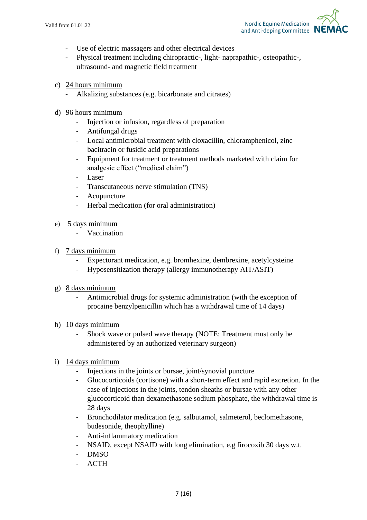

- Use of electric massagers and other electrical devices
- Physical treatment including chiropractic-, light- naprapathic-, osteopathic-, ultrasound- and magnetic field treatment
- c) 24 hours minimum
	- Alkalizing substances (e.g. bicarbonate and citrates)
- d) 96 hours minimum
	- Injection or infusion, regardless of preparation
	- Antifungal drugs
	- Local antimicrobial treatment with cloxacillin, chloramphenicol, zinc bacitracin or fusidic acid preparations
	- Equipment for treatment or treatment methods marketed with claim for analgesic effect ("medical claim")
	- Laser
	- Transcutaneous nerve stimulation (TNS)
	- Acupuncture
	- Herbal medication (for oral administration)
- e) 5 days minimum
	- Vaccination
- f) 7 days minimum
	- Expectorant medication, e.g. bromhexine, dembrexine, acetylcysteine
	- Hyposensitization therapy (allergy immunotherapy AIT/ASIT)
- g) 8 days minimum
	- Antimicrobial drugs for systemic administration (with the exception of procaine benzylpenicillin which has a withdrawal time of 14 days)
- h) 10 days minimum
	- Shock wave or pulsed wave therapy (NOTE: Treatment must only be administered by an authorized veterinary surgeon)
- i) 14 days minimum
	- Injections in the joints or bursae, joint/synovial puncture
	- Glucocorticoids (cortisone) with a short-term effect and rapid excretion. In the case of injections in the joints, tendon sheaths or bursae with any other glucocorticoid than dexamethasone sodium phosphate, the withdrawal time is 28 days
	- Bronchodilator medication (e.g. salbutamol, salmeterol, beclomethasone, budesonide, theophylline)
	- Anti-inflammatory medication
	- NSAID, except NSAID with long elimination, e.g firocoxib 30 days w.t.
	- DMSO
	- ACTH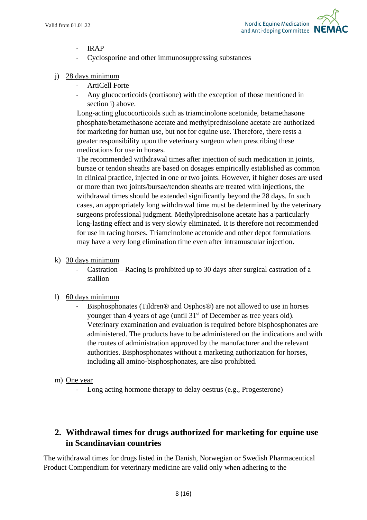

- IRAP
- Cyclosporine and other immunosuppressing substances
- j) 28 days minimum
	- ArtiCell Forte
	- Any glucocorticoids (cortisone) with the exception of those mentioned in section i) above.

Long-acting glucocorticoids such as triamcinolone acetonide, betamethasone phosphate/betamethasone acetate and methylprednisolone acetate are authorized for marketing for human use, but not for equine use. Therefore, there rests a greater responsibility upon the veterinary surgeon when prescribing these medications for use in horses.

The recommended withdrawal times after injection of such medication in joints, bursae or tendon sheaths are based on dosages empirically established as common in clinical practice, injected in one or two joints. However, if higher doses are used or more than two joints/bursae/tendon sheaths are treated with injections, the withdrawal times should be extended significantly beyond the 28 days. In such cases, an appropriately long withdrawal time must be determined by the veterinary surgeons professional judgment. Methylprednisolone acetate has a particularly long-lasting effect and is very slowly eliminated. It is therefore not recommended for use in racing horses. Triamcinolone acetonide and other depot formulations may have a very long elimination time even after intramuscular injection.

- k) 30 days minimum
	- Castration Racing is prohibited up to 30 days after surgical castration of a stallion
- l) 60 days minimum
	- Bisphosphonates (Tildren® and Osphos®) are not allowed to use in horses younger than 4 years of age (until 31<sup>st</sup> of December as tree years old). Veterinary examination and evaluation is required before bisphosphonates are administered. The products have to be administered on the indications and with the routes of administration approved by the manufacturer and the relevant authorities. Bisphosphonates without a marketing authorization for horses, including all amino-bisphosphonates, are also prohibited.
- m) One year
	- Long acting hormone therapy to delay oestrus (e.g., Progesterone)

# **2. Withdrawal times for drugs authorized for marketing for equine use in Scandinavian countries**

The withdrawal times for drugs listed in the Danish, Norwegian or Swedish Pharmaceutical Product Compendium for veterinary medicine are valid only when adhering to the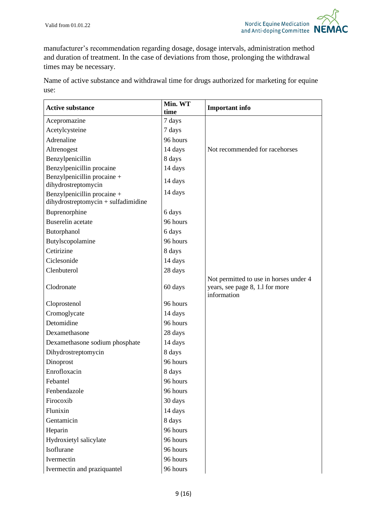

manufacturer's recommendation regarding dosage, dosage intervals, administration method and duration of treatment. In the case of deviations from those, prolonging the withdrawal times may be necessary.

Name of active substance and withdrawal time for drugs authorized for marketing for equine use:

| <b>Active substance</b>                                            | Min. WT<br>time | <b>Important info</b>                                                                    |
|--------------------------------------------------------------------|-----------------|------------------------------------------------------------------------------------------|
| Acepromazine                                                       | 7 days          |                                                                                          |
| Acetylcysteine                                                     | 7 days          |                                                                                          |
| Adrenaline                                                         | 96 hours        |                                                                                          |
| Altrenogest                                                        | 14 days         | Not recommended for racehorses                                                           |
| Benzylpenicillin                                                   | 8 days          |                                                                                          |
| Benzylpenicillin procaine                                          | 14 days         |                                                                                          |
| Benzylpenicillin procaine +<br>dihydrostreptomycin                 | 14 days         |                                                                                          |
| Benzylpenicillin procaine +<br>dihydrostreptomycin + sulfadimidine | 14 days         |                                                                                          |
| Buprenorphine                                                      | 6 days          |                                                                                          |
| <b>Buserelin</b> acetate                                           | 96 hours        |                                                                                          |
| Butorphanol                                                        | 6 days          |                                                                                          |
| Butylscopolamine                                                   | 96 hours        |                                                                                          |
| Cetirizine                                                         | 8 days          |                                                                                          |
| Ciclesonide                                                        | 14 days         |                                                                                          |
| Clenbuterol                                                        | 28 days         |                                                                                          |
| Clodronate                                                         | 60 days         | Not permitted to use in horses under 4<br>years, see page 8, 1.1 for more<br>information |
| Cloprostenol                                                       | 96 hours        |                                                                                          |
| Cromoglycate                                                       | 14 days         |                                                                                          |
| Detomidine                                                         | 96 hours        |                                                                                          |
| Dexamethasone                                                      | 28 days         |                                                                                          |
| Dexamethasone sodium phosphate                                     | 14 days         |                                                                                          |
| Dihydrostreptomycin                                                | 8 days          |                                                                                          |
| Dinoprost                                                          | 96 hours        |                                                                                          |
| Enrofloxacin                                                       | 8 days          |                                                                                          |
| Febantel                                                           | 96 hours        |                                                                                          |
| Fenbendazole                                                       | 96 hours        |                                                                                          |
| Firocoxib                                                          | 30 days         |                                                                                          |
| Flunixin                                                           | 14 days         |                                                                                          |
| Gentamicin                                                         | 8 days          |                                                                                          |
| Heparin                                                            | 96 hours        |                                                                                          |
| Hydroxietyl salicylate                                             | 96 hours        |                                                                                          |
| Isoflurane                                                         | 96 hours        |                                                                                          |
| Ivermectin                                                         | 96 hours        |                                                                                          |
| Ivermectin and praziquantel                                        | 96 hours        |                                                                                          |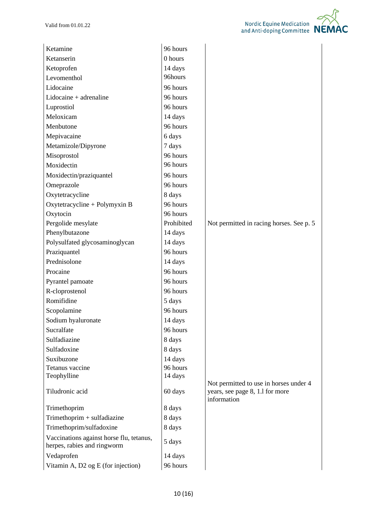Ketamine 96 hours

| Ketanserin               | 0 hours  |
|--------------------------|----------|
| Ketoprofen               | 14 days  |
| Levomenthol              | 96hours  |
| Lidocaine                | 96 hours |
| $Lidocaine + adrenaline$ | 96 hours |
| Luprostiol               | 96 hours |
| Meloxicam                | 14 days  |
| Menbutone                | 96 hours |
| Mepivacaine              | 6 days   |
| Metamizole/Dipyrone      | 7 days   |
| Misoprostol              | 96 hours |
| Moxidectin               | 96 hours |
| Moxidectin/praziquantel  | 96 hours |
| Omeprazole               | 96 hours |
| Oxytetracycline          | 8 days   |

| Meloxicam                                                               | 14 days    |                                                                                          |
|-------------------------------------------------------------------------|------------|------------------------------------------------------------------------------------------|
| Menbutone                                                               | 96 hours   |                                                                                          |
| Mepivacaine                                                             | 6 days     |                                                                                          |
| Metamizole/Dipyrone                                                     | 7 days     |                                                                                          |
| Misoprostol                                                             | 96 hours   |                                                                                          |
| Moxidectin                                                              | 96 hours   |                                                                                          |
| Moxidectin/praziquantel                                                 | 96 hours   |                                                                                          |
| Omeprazole                                                              | 96 hours   |                                                                                          |
| Oxytetracycline                                                         | 8 days     |                                                                                          |
| Oxytetracycline + Polymyxin B                                           | 96 hours   |                                                                                          |
| Oxytocin                                                                | 96 hours   |                                                                                          |
| Pergolide mesylate                                                      | Prohibited | Not permitted in racing horses. See p. 5                                                 |
| Phenylbutazone                                                          | 14 days    |                                                                                          |
| Polysulfated glycosaminoglycan                                          | 14 days    |                                                                                          |
| Praziquantel                                                            | 96 hours   |                                                                                          |
| Prednisolone                                                            | 14 days    |                                                                                          |
| Procaine                                                                | 96 hours   |                                                                                          |
| Pyrantel pamoate                                                        | 96 hours   |                                                                                          |
| R-cloprostenol                                                          | 96 hours   |                                                                                          |
| Romifidine                                                              | 5 days     |                                                                                          |
| Scopolamine                                                             | 96 hours   |                                                                                          |
| Sodium hyaluronate                                                      | 14 days    |                                                                                          |
| Sucralfate                                                              | 96 hours   |                                                                                          |
| Sulfadiazine                                                            | 8 days     |                                                                                          |
| Sulfadoxine                                                             | 8 days     |                                                                                          |
| Suxibuzone                                                              | 14 days    |                                                                                          |
| Tetanus vaccine                                                         | 96 hours   |                                                                                          |
| Teophylline                                                             | 14 days    |                                                                                          |
| Tiludronic acid                                                         | 60 days    | Not permitted to use in horses under 4<br>years, see page 8, 1.1 for more<br>information |
| Trimethoprim                                                            | 8 days     |                                                                                          |
| Trimethoprim + sulfadiazine                                             | 8 days     |                                                                                          |
| Trimethoprim/sulfadoxine                                                | 8 days     |                                                                                          |
| Vaccinations against horse flu, tetanus,<br>herpes, rabies and ringworm | 5 days     |                                                                                          |
| Vedaprofen                                                              | 14 days    |                                                                                          |
| Vitamin A, D2 og E (for injection)                                      | 96 hours   |                                                                                          |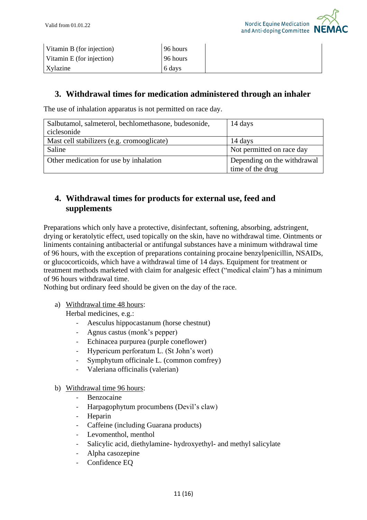

| Vitamin B (for injection) | 96 hours |  |
|---------------------------|----------|--|
| Vitamin E (for injection) | 96 hours |  |
| Xylazine                  | 6 days   |  |

### **3. Withdrawal times for medication administered through an inhaler**

The use of inhalation apparatus is not permitted on race day.

| Salbutamol, salmeterol, bechlomethasone, budesonide, | 14 days                     |
|------------------------------------------------------|-----------------------------|
| ciclesonide                                          |                             |
| Mast cell stabilizers (e.g. cromooglicate)           | 14 days                     |
| Saline                                               | Not permitted on race day   |
| Other medication for use by inhalation               | Depending on the withdrawal |
|                                                      | time of the drug            |

# **4. Withdrawal times for products for external use, feed and supplements**

Preparations which only have a protective, disinfectant, softening, absorbing, adstringent, drying or keratolytic effect, used topically on the skin, have no withdrawal time. Ointments or liniments containing antibacterial or antifungal substances have a minimum withdrawal time of 96 hours, with the exception of preparations containing procaine benzylpenicillin, NSAIDs, or glucocorticoids, which have a withdrawal time of 14 days. Equipment for treatment or treatment methods marketed with claim for analgesic effect ("medical claim") has a minimum of 96 hours withdrawal time.

Nothing but ordinary feed should be given on the day of the race.

a) Withdrawal time 48 hours:

Herbal medicines, e.g.:

- Aesculus hippocastanum (horse chestnut)
- Agnus castus (monk's pepper)
- Echinacea purpurea (purple coneflower)
- Hypericum perforatum L. (St John's wort)
- Symphytum officinale L. (common comfrey)
- Valeriana officinalis (valerian)
- b) Withdrawal time 96 hours:
	- Benzocaine
	- Harpagophytum procumbens (Devil's claw)
	- **Heparin**
	- Caffeine (including Guarana products)
	- Levomenthol, menthol
	- Salicylic acid, diethylamine- hydroxyethyl- and methyl salicylate
	- Alpha casozepine
	- Confidence EQ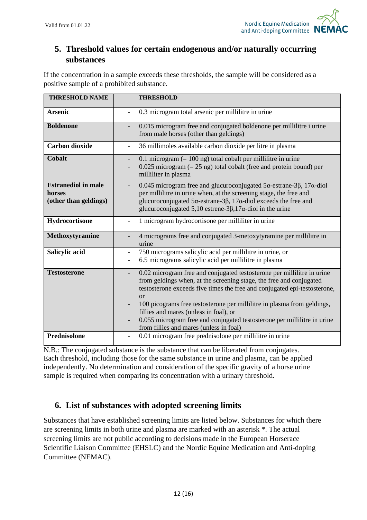

# **5. Threshold values for certain endogenous and/or naturally occurring substances**

If the concentration in a sample exceeds these thresholds, the sample will be considered as a positive sample of a prohibited substance.

| <b>THRESHOLD NAME</b>                                         | <b>THRESHOLD</b>                                                                                                                                                                                                                                                                                                                                                                                                                                                                    |
|---------------------------------------------------------------|-------------------------------------------------------------------------------------------------------------------------------------------------------------------------------------------------------------------------------------------------------------------------------------------------------------------------------------------------------------------------------------------------------------------------------------------------------------------------------------|
| <b>Arsenic</b>                                                | 0.3 microgram total arsenic per millilitre in urine                                                                                                                                                                                                                                                                                                                                                                                                                                 |
| <b>Boldenone</b>                                              | 0.015 microgram free and conjugated boldenone per millilitre i urine<br>from male horses (other than geldings)                                                                                                                                                                                                                                                                                                                                                                      |
| <b>Carbon dioxide</b>                                         | 36 millimoles available carbon dioxide per litre in plasma                                                                                                                                                                                                                                                                                                                                                                                                                          |
| <b>Cobalt</b>                                                 | 0.1 microgram $(= 100 \text{ ng})$ total cobalt per millilitre in urine<br>$0.025$ microgram (= 25 ng) total cobalt (free and protein bound) per<br>milliliter in plasma                                                                                                                                                                                                                                                                                                            |
| <b>Estranediol in male</b><br>horses<br>(other than geldings) | 0.045 microgram free and glucuroconjugated $5\alpha$ -estrane-3 $\beta$ , 17 $\alpha$ -diol<br>per millilitre in urine when, at the screening stage, the free and<br>glucuroconjugated $5\alpha$ -estrane-3 $\beta$ , 17 $\alpha$ -diol exceeds the free and<br>glucuroconjugated 5,10 estrene-3 $\beta$ ,17 $\alpha$ -diol in the urine                                                                                                                                            |
| Hydrocortisone                                                | 1 microgram hydrocortisone per milliliter in urine                                                                                                                                                                                                                                                                                                                                                                                                                                  |
| Methoxytyramine                                               | 4 micrograms free and conjugated 3-metoxytyramine per millilitre in<br>urine                                                                                                                                                                                                                                                                                                                                                                                                        |
| Salicylic acid                                                | 750 micrograms salicylic acid per millilitre in urine, or<br>6.5 micrograms salicylic acid per millilitre in plasma<br>$\overline{\phantom{a}}$                                                                                                                                                                                                                                                                                                                                     |
| <b>Testosterone</b>                                           | 0.02 microgram free and conjugated testosterone per millilitre in urine<br>from geldings when, at the screening stage, the free and conjugated<br>testosterone exceeds five times the free and conjugated epi-testosterone,<br>$\alpha$<br>100 picograms free testosterone per millilitre in plasma from geldings,<br>fillies and mares (unless in foal), or<br>0.055 microgram free and conjugated testosterone per millilitre in urine<br>from fillies and mares (unless in foal) |
| Prednisolone                                                  | 0.01 microgram free prednisolone per millilitre in urine                                                                                                                                                                                                                                                                                                                                                                                                                            |

N.B.: The conjugated substance is the substance that can be liberated from conjugates. Each threshold, including those for the same substance in urine and plasma, can be applied independently. No determination and consideration of the specific gravity of a horse urine sample is required when comparing its concentration with a urinary threshold.

## **6. List of substances with adopted screening limits**

Substances that have established screening limits are listed below. Substances for which there are screening limits in both urine and plasma are marked with an asterisk \*. The actual screening limits are not public according to decisions made in the European Horserace Scientific Liaison Committee (EHSLC) and the Nordic Equine Medication and Anti-doping Committee (NEMAC).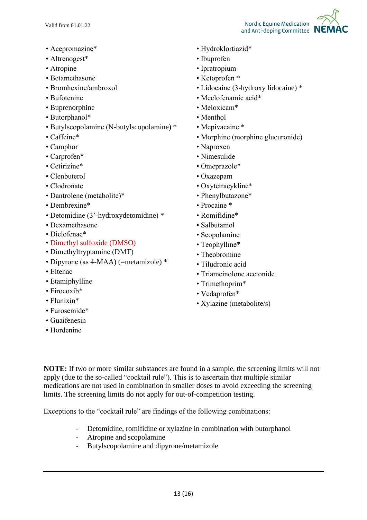- Acepromazine\*
- Altrenogest\*
- Atropine
- Betamethasone
- Bromhexine/ambroxol
- Bufotenine
- Buprenorphine
- Butorphanol\*
- Butylscopolamine (N-butylscopolamine) \*
- Caffeine\*
- Camphor
- Carprofen\*
- Cetirizine\*
- Clenbuterol
- Clodronate
- Dantrolene (metabolite)\*
- Dembrexine\*
- Detomidine (3'-hydroxydetomidine) \*
- Dexamethasone
- Diclofenac\*
- Dimethyl sulfoxide (DMSO)
- Dimethyltryptamine (DMT)
- Dipyrone (as 4-MAA) (=metamizole) \*
- Eltenac
- Etamiphylline
- Firocoxib<sup>\*</sup>
- Flunixin\*
- Furosemide\*
- Guaifenesin
- Hordenine
- Hydroklortiazid\*
- Ibuprofen
- Ipratropium
- Ketoprofen \*
- Lidocaine (3-hydroxy lidocaine) \*
- Meclofenamic acid\*
- Meloxicam\*
- Menthol
- Mepivacaine \*
- Morphine (morphine glucuronide)
- Naproxen
- Nimesulide
- Omeprazole\*
- Oxazepam
- Oxytetracykline\*
- Phenylbutazone\*
- Procaine \*
- Romifidine\*
- Salbutamol
- Scopolamine
- Teophylline\*
- Theobromine
- Tiludronic acid
- Triamcinolone acetonide
- Trimethoprim\*
- Vedaprofen\*
- Xylazine (metabolite/s)

**NOTE:** If two or more similar substances are found in a sample, the screening limits will not apply (due to the so-called "cocktail rule"). This is to ascertain that multiple similar medications are not used in combination in smaller doses to avoid exceeding the screening limits. The screening limits do not apply for out-of-competition testing.

Exceptions to the "cocktail rule" are findings of the following combinations:

- Detomidine, romifidine or xylazine in combination with butorphanol
- Atropine and scopolamine
- Butylscopolamine and dipyrone/metamizole

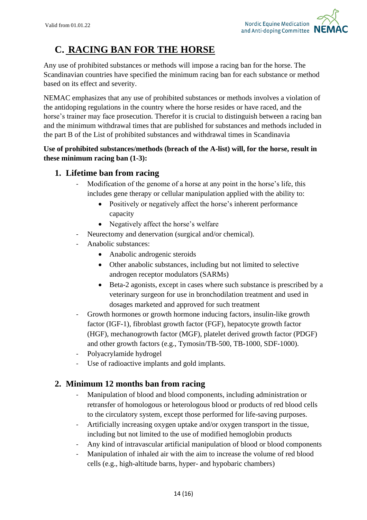

# **C. RACING BAN FOR THE HORSE**

Any use of prohibited substances or methods will impose a racing ban for the horse. The Scandinavian countries have specified the minimum racing ban for each substance or method based on its effect and severity.

NEMAC emphasizes that any use of prohibited substances or methods involves a violation of the antidoping regulations in the country where the horse resides or have raced, and the horse's trainer may face prosecution. Therefor it is crucial to distinguish between a racing ban and the minimum withdrawal times that are published for substances and methods included in the part B of the List of prohibited substances and withdrawal times in Scandinavia

### **Use of prohibited substances/methods (breach of the A-list) will, for the horse, result in these minimum racing ban (1-3):**

## **1. Lifetime ban from racing**

- Modification of the genome of a horse at any point in the horse's life, this includes gene therapy or cellular manipulation applied with the ability to:
	- Positively or negatively affect the horse's inherent performance capacity
	- Negatively affect the horse's welfare
- Neurectomy and denervation (surgical and/or chemical).
- Anabolic substances:
	- Anabolic androgenic steroids
	- Other anabolic substances, including but not limited to selective androgen receptor modulators (SARMs)
	- Beta-2 agonists, except in cases where such substance is prescribed by a veterinary surgeon for use in bronchodilation treatment and used in dosages marketed and approved for such treatment
- Growth hormones or growth hormone inducing factors, insulin-like growth factor (IGF-1), fibroblast growth factor (FGF), hepatocyte growth factor (HGF), mechanogrowth factor (MGF), platelet derived growth factor (PDGF) and other growth factors (e.g., Tymosin/TB-500, TB-1000, SDF-1000).
- Polyacrylamide hydrogel
- Use of radioactive implants and gold implants.

## **2. Minimum 12 months ban from racing**

- Manipulation of blood and blood components, including administration or retransfer of homologous or heterologous blood or products of red blood cells to the circulatory system, except those performed for life-saving purposes.
- Artificially increasing oxygen uptake and/or oxygen transport in the tissue, including but not limited to the use of modified hemoglobin products
- Any kind of intravascular artificial manipulation of blood or blood components
- Manipulation of inhaled air with the aim to increase the volume of red blood cells (e.g., high-altitude barns, hyper- and hypobaric chambers)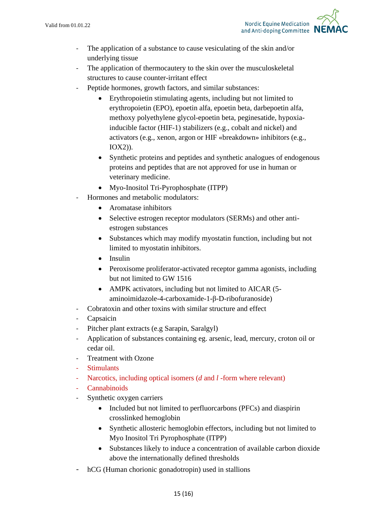

- The application of a substance to cause vesiculating of the skin and/or underlying tissue
- The application of thermocautery to the skin over the musculoskeletal structures to cause counter-irritant effect
- Peptide hormones, growth factors, and similar substances:
	- Erythropoietin stimulating agents, including but not limited to erythropoietin (EPO), epoetin alfa, epoetin beta, darbepoetin alfa, methoxy polyethylene glycol-epoetin beta, peginesatide, hypoxiainducible factor (HIF-1) stabilizers (e.g., cobalt and nickel) and activators (e.g., xenon, argon or HIF «breakdown» inhibitors (e.g., IOX2)).
	- Synthetic proteins and peptides and synthetic analogues of endogenous proteins and peptides that are not approved for use in human or veterinary medicine.
	- Myo-Inositol Tri-Pyrophosphate (ITPP)
- Hormones and metabolic modulators:
	- Aromatase inhibitors
	- Selective estrogen receptor modulators (SERMs) and other antiestrogen substances
	- Substances which may modify myostatin function, including but not limited to myostatin inhibitors.
	- Insulin
	- Peroxisome proliferator-activated receptor gamma agonists, including but not limited to GW 1516
	- AMPK activators, including but not limited to AICAR (5aminoimidazole-4-carboxamide-1-β-D-ribofuranoside)
- Cobratoxin and other toxins with similar structure and effect
- Capsaicin
- Pitcher plant extracts (e.g Sarapin, Saralgyl)
- Application of substances containing eg. arsenic, lead, mercury, croton oil or cedar oil.
- Treatment with Ozone
- **Stimulants**
- Narcotics, including optical isomers (*d* and *l* -form where relevant)
- **Cannabinoids**
- Synthetic oxygen carriers
	- Included but not limited to perfluorcarbons (PFCs) and diaspirin crosslinked hemoglobin
	- Synthetic allosteric hemoglobin effectors, including but not limited to Myo Inositol Tri Pyrophosphate (ITPP)
	- Substances likely to induce a concentration of available carbon dioxide above the internationally defined thresholds
- hCG (Human chorionic gonadotropin) used in stallions